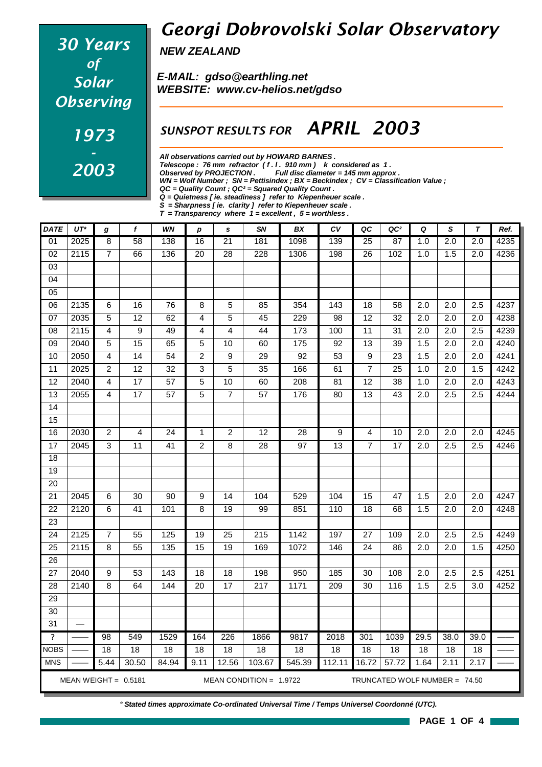# *30 Years of Solar Observing 1973 - 2003*

## *Georgi Dobrovolski Solar Observatory*

*NEW ZEALAND*

*E-MAIL: gdso@earthling.net WEBSITE: www.cv-helios.net/gdso*

### *SUNSPOT RESULTS FOR APRIL 2003*

*All observations carried out by HOWARD BARNES .*

*Telescope : 76 mm refractor ( f . l . 910 mm ) k considered as 1 .*

*Observed by PROJECTION . Full disc diameter = 145 mm approx .*

*WN = Wolf Number ; SN = Pettisindex ; BX = Beckindex ; CV = Classification Value ;*

*QC = Quality Count ; QC² = Squared Quality Count .*

*Q = Quietness [ ie. steadiness ] refer to Kiepenheuer scale .*

*S = Sharpness [ ie. clarity ] refer to Kiepenheuer scale .*

|              | $T = Transparency$ where $1 = excellent$ , $5 = worthless$ . |                  |                        |                 |                  |                 |                           |        |        |                 |                               |      |                  |                  |      |
|--------------|--------------------------------------------------------------|------------------|------------------------|-----------------|------------------|-----------------|---------------------------|--------|--------|-----------------|-------------------------------|------|------------------|------------------|------|
| <b>DATE</b>  | $UT^*$                                                       | $\boldsymbol{g}$ | $\boldsymbol{f}$       | WN              | $\boldsymbol{p}$ | s               | SN                        | BX     | CV     | QC              | QC <sup>2</sup>               | Q    | $\mathbf S$      | $\tau$           | Ref. |
| 01           | 2025                                                         | $\overline{8}$   | 58                     | 138             | 16               | $\overline{21}$ | 181                       | 1098   | 139    | 25              | 87                            | 1.0  | 2.0              | 2.0              | 4235 |
| 02           | 2115                                                         | $\overline{7}$   | 66                     | 136             | 20               | 28              | 228                       | 1306   | 198    | 26              | 102                           | 1.0  | 1.5              | 2.0              | 4236 |
| 03           |                                                              |                  |                        |                 |                  |                 |                           |        |        |                 |                               |      |                  |                  |      |
| 04           |                                                              |                  |                        |                 |                  |                 |                           |        |        |                 |                               |      |                  |                  |      |
| 05           |                                                              |                  |                        |                 |                  |                 |                           |        |        |                 |                               |      |                  |                  |      |
| 06           | 2135                                                         | 6                | 16                     | 76              | 8                | 5               | 85                        | 354    | 143    | 18              | 58                            | 2.0  | 2.0              | 2.5              | 4237 |
| 07           | 2035                                                         | $\overline{5}$   | $\overline{12}$        | 62              | 4                | $\overline{5}$  | 45                        | 229    | 98     | $\overline{12}$ | 32                            | 2.0  | 2.0              | 2.0              | 4238 |
| 08           | 2115                                                         | 4                | 9                      | 49              | 4                | $\overline{4}$  | 44                        | 173    | 100    | 11              | 31                            | 2.0  | 2.0              | 2.5              | 4239 |
| 09           | 2040                                                         | 5                | 15                     | 65              | 5                | 10              | 60                        | 175    | 92     | 13              | 39                            | 1.5  | 2.0              | 2.0              | 4240 |
| 10           | 2050                                                         | $\overline{4}$   | $\overline{14}$        | $\overline{54}$ | $\overline{2}$   | $\overline{9}$  | 29                        | 92     | 53     | $\overline{9}$  | $\overline{23}$               | 1.5  | $\overline{2.0}$ | $\overline{2.0}$ | 4241 |
| 11           | 2025                                                         | $\overline{2}$   | 12                     | 32              | 3                | $\overline{5}$  | 35                        | 166    | 61     | $\overline{7}$  | 25                            | 1.0  | 2.0              | 1.5              | 4242 |
| 12           | 2040                                                         | 4                | 17                     | 57              | 5                | 10              | 60                        | 208    | 81     | 12              | 38                            | 1.0  | 2.0              | 2.0              | 4243 |
| 13           | 2055                                                         | $\overline{4}$   | $\overline{17}$        | 57              | $\overline{5}$   | $\overline{7}$  | 57                        | 176    | 80     | $\overline{13}$ | $\overline{43}$               | 2.0  | 2.5              | 2.5              | 4244 |
| 14           |                                                              |                  |                        |                 |                  |                 |                           |        |        |                 |                               |      |                  |                  |      |
| 15           |                                                              |                  |                        |                 |                  |                 |                           |        |        |                 |                               |      |                  |                  |      |
| 16           | 2030                                                         | $\overline{2}$   | $\overline{4}$         | 24              | 1                | $\overline{2}$  | 12                        | 28     | $9\,$  | 4               | 10                            | 2.0  | 2.0              | 2.0              | 4245 |
| 17           | 2045                                                         | 3                | 11                     | 41              | $\overline{2}$   | 8               | 28                        | 97     | 13     | $\overline{7}$  | 17                            | 2.0  | 2.5              | 2.5              | 4246 |
| 18           |                                                              |                  |                        |                 |                  |                 |                           |        |        |                 |                               |      |                  |                  |      |
| 19           |                                                              |                  |                        |                 |                  |                 |                           |        |        |                 |                               |      |                  |                  |      |
| 20           |                                                              |                  |                        |                 |                  |                 |                           |        |        |                 |                               |      |                  |                  |      |
| 21           | 2045                                                         | 6                | 30                     | 90              | 9                | 14              | 104                       | 529    | 104    | 15              | 47                            | 1.5  | 2.0              | 2.0              | 4247 |
| 22           | 2120                                                         | $6\phantom{a}$   | 41                     | 101             | 8                | 19              | 99                        | 851    | 110    | 18              | 68                            | 1.5  | 2.0              | 2.0              | 4248 |
| 23           |                                                              |                  |                        |                 |                  |                 |                           |        |        |                 |                               |      |                  |                  |      |
| 24           | 2125                                                         | $\overline{7}$   | 55                     | 125             | 19               | 25              | 215                       | 1142   | 197    | 27              | 109                           | 2.0  | 2.5              | 2.5              | 4249 |
| 25           | 2115                                                         | 8                | 55                     | 135             | 15               | 19              | 169                       | 1072   | 146    | 24              | 86                            | 2.0  | 2.0              | 1.5              | 4250 |
| 26           |                                                              |                  |                        |                 |                  |                 |                           |        |        |                 |                               |      |                  |                  |      |
| 27           | 2040                                                         | 9                | 53                     | 143             | 18               | 18              | 198                       | 950    | 185    | 30              | 108                           | 2.0  | 2.5              | 2.5              | 4251 |
| 28           | 2140                                                         | 8                | 64                     | 144             | 20               | 17              | 217                       | 1171   | 209    | 30              | 116                           | 1.5  | 2.5              | 3.0              | 4252 |
| 29           |                                                              |                  |                        |                 |                  |                 |                           |        |        |                 |                               |      |                  |                  |      |
| 30           |                                                              |                  |                        |                 |                  |                 |                           |        |        |                 |                               |      |                  |                  |      |
| 31           |                                                              |                  |                        |                 |                  |                 |                           |        |        |                 |                               |      |                  |                  |      |
| $\mathbf{?}$ |                                                              | 98               | 549                    | 1529            | 164              | 226             | 1866                      | 9817   | 2018   | 301             | 1039                          | 29.5 | 38.0             | 39.0             |      |
| <b>NOBS</b>  |                                                              | 18               | 18                     | 18              | 18               | 18              | 18                        | 18     | 18     | 18              | 18                            | 18   | 18               | 18               |      |
| <b>MNS</b>   |                                                              | 5.44             | 30.50                  | 84.94           | 9.11             | 12.56           | 103.67                    | 545.39 | 112.11 | 16.72           | 57.72                         | 1.64 | 2.11             | 2.17             |      |
|              |                                                              |                  | MEAN WEIGHT = $0.5181$ |                 |                  |                 | MEAN CONDITION = $1.9722$ |        |        |                 | TRUNCATED WOLF NUMBER = 74.50 |      |                  |                  |      |

*\* Stated times approximate Co-ordinated Universal Time / Temps Universel Coordonné (UTC).*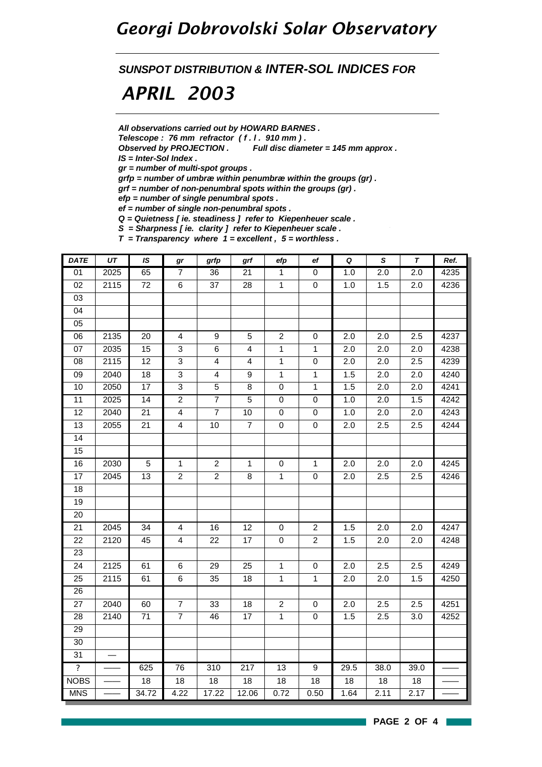### *Georgi Dobrovolski Solar Observatory*

*SUNSPOT DISTRIBUTION & INTER-SOL INDICES FOR*

### *APRIL 2003*

*All observations carried out by HOWARD BARNES .*

*Telescope : 76 mm refractor ( f . l . 910 mm ) .*

*Observed by PROJECTION . Full disc diameter = 145 mm approx .*

*IS = Inter-Sol Index .*

*gr = number of multi-spot groups .*

*grfp = number of umbræ within penumbræ within the groups (gr) .*

*grf = number of non-penumbral spots within the groups (gr) .*

*efp = number of single penumbral spots .*

*ef = number of single non-penumbral spots .*

*Q = Quietness [ ie. steadiness ] refer to Kiepenheuer scale .*

*S = Sharpness [ ie. clarity ] refer to Kiepenheuer scale .*

*T = Transparency where 1 = excellent , 5 = worthless .*

| <b>DATE</b>             | $U\mathcal{T}$ | IS              | gr             | grfp                    | grf                     | efp            | $_{\rm ef}$    | $\pmb Q$         | $\mathsf{s}$     | $\pmb{\tau}$     | Ref. |
|-------------------------|----------------|-----------------|----------------|-------------------------|-------------------------|----------------|----------------|------------------|------------------|------------------|------|
| 01                      | 2025           | 65              | $\overline{7}$ | 36                      | $\overline{21}$         | $\overline{1}$ | 0              | 1.0              | 2.0              | 2.0              | 4235 |
| 02                      | 2115           | 72              | 6              | 37                      | 28                      | $\overline{1}$ | $\pmb{0}$      | 1.0              | 1.5              | 2.0              | 4236 |
| 03                      |                |                 |                |                         |                         |                |                |                  |                  |                  |      |
| 04                      |                |                 |                |                         |                         |                |                |                  |                  |                  |      |
| 05                      |                |                 |                |                         |                         |                |                |                  |                  |                  |      |
| 06                      | 2135           | 20              | $\overline{4}$ | 9                       | 5                       | $\overline{c}$ | $\pmb{0}$      | 2.0              | 2.0              | 2.5              | 4237 |
| 07                      | 2035           | 15              | 3              | 6                       | 4                       | $\mathbf{1}$   | $\mathbf{1}$   | 2.0              | 2.0              | 2.0              | 4238 |
| $\overline{08}$         | 2115           | $\overline{12}$ | $\overline{3}$ | $\overline{\mathbf{4}}$ | $\overline{\mathbf{4}}$ | $\overline{1}$ | $\pmb{0}$      | 2.0              | 2.0              | 2.5              | 4239 |
| $\overline{09}$         | 2040           | $\overline{18}$ | $\overline{3}$ | $\overline{\mathbf{4}}$ | 9                       | $\overline{1}$ | $\mathbf{1}$   | 1.5              | 2.0              | 2.0              | 4240 |
| 10                      | 2050           | $\overline{17}$ | $\overline{3}$ | $\sqrt{5}$              | 8                       | $\pmb{0}$      | $\mathbf{1}$   | 1.5              | 2.0              | 2.0              | 4241 |
| 11                      | 2025           | 14              | $\overline{2}$ | $\boldsymbol{7}$        | $\sqrt{5}$              | $\pmb{0}$      | $\pmb{0}$      | 1.0              | 2.0              | 1.5              | 4242 |
| 12                      | 2040           | 21              | $\overline{4}$ | $\overline{7}$          | 10                      | $\pmb{0}$      | $\pmb{0}$      | 1.0              | 2.0              | 2.0              | 4243 |
| $\overline{13}$         | 2055           | 21              | $\overline{4}$ | 10                      | $\overline{7}$          | $\mathsf 0$    | $\pmb{0}$      | 2.0              | 2.5              | 2.5              | 4244 |
| 14                      |                |                 |                |                         |                         |                |                |                  |                  |                  |      |
| $\overline{15}$         |                |                 |                |                         |                         |                |                |                  |                  |                  |      |
| 16                      | 2030           | $\overline{5}$  | $\overline{1}$ | $\overline{2}$          | $\overline{1}$          | $\overline{0}$ | $\overline{1}$ | $\overline{2.0}$ | $\overline{2.0}$ | $\overline{2.0}$ | 4245 |
| 17                      | 2045           | 13              | $\overline{a}$ | $\overline{c}$          | 8                       | $\mathbf{1}$   | $\pmb{0}$      | 2.0              | 2.5              | 2.5              | 4246 |
| 18                      |                |                 |                |                         |                         |                |                |                  |                  |                  |      |
| 19                      |                |                 |                |                         |                         |                |                |                  |                  |                  |      |
| $\overline{20}$         |                |                 |                |                         |                         |                |                |                  |                  |                  |      |
| 21                      | 2045           | 34              | $\overline{4}$ | 16                      | 12                      | $\pmb{0}$      | $\overline{a}$ | 1.5              | 2.0              | 2.0              | 4247 |
| $\overline{22}$         | 2120           | 45              | $\overline{4}$ | 22                      | 17                      | $\mathbf 0$    | $\overline{2}$ | 1.5              | 2.0              | 2.0              | 4248 |
| 23                      |                |                 |                |                         |                         |                |                |                  |                  |                  |      |
| 24                      | 2125           | 61              | 6              | 29                      | 25                      | $\mathbf{1}$   | $\pmb{0}$      | 2.0              | 2.5              | 2.5              | 4249 |
| 25                      | 2115           | 61              | 6              | 35                      | 18                      | $\mathbf{1}$   | $\mathbf{1}$   | 2.0              | 2.0              | 1.5              | 4250 |
| 26                      |                |                 |                |                         |                         |                |                |                  |                  |                  |      |
| 27                      | 2040           | 60              | $\overline{7}$ | 33                      | 18                      | $\overline{2}$ | $\pmb{0}$      | 2.0              | 2.5              | 2.5              | 4251 |
| 28                      | 2140           | 71              | $\overline{7}$ | 46                      | 17                      | $\mathbf{1}$   | $\mathbf 0$    | 1.5              | 2.5              | 3.0              | 4252 |
| 29                      |                |                 |                |                         |                         |                |                |                  |                  |                  |      |
| 30                      |                |                 |                |                         |                         |                |                |                  |                  |                  |      |
| 31                      |                |                 |                |                         |                         |                |                |                  |                  |                  |      |
| $\overline{\mathbf{?}}$ |                | 625             | 76             | 310                     | 217                     | 13             | $\overline{9}$ | 29.5             | 38.0             | 39.0             |      |
| <b>NOBS</b>             |                | 18              | 18             | 18                      | 18                      | 18             | 18             | 18               | 18               | 18               |      |
| <b>MNS</b>              |                | 34.72           | 4.22           | 17.22                   | 12.06                   | 0.72           | 0.50           | 1.64             | 2.11             | 2.17             |      |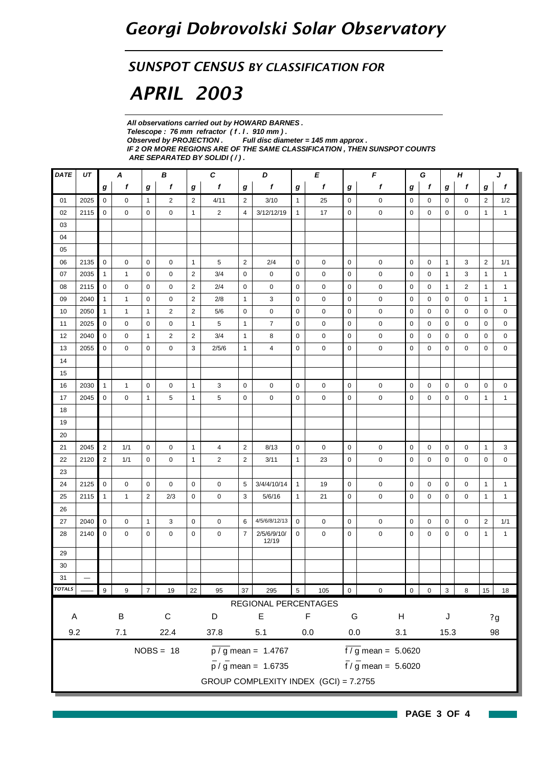## *Georgi Dobrovolski Solar Observatory*

#### *SUNSPOT CENSUS BY CLASSIFICATION FOR*

## *APRIL 2003*

*All observations carried out by HOWARD BARNES . Telescope : 76 mm refractor ( f . l . 910 mm ) . Full disc diameter = 145 mm approx . IF 2 OR MORE REGIONS ARE OF THE SAME CLASSIFICATION , THEN SUNSPOT COUNTS ARE SEPARATED BY SOLIDI ( / ) .*

| DATE          | UT                                               | В<br>Α         |              |                |                |                | C              |                | D                                     |              | F<br>Е      |                     |                             | G           |             | Н            |                | J              |              |
|---------------|--------------------------------------------------|----------------|--------------|----------------|----------------|----------------|----------------|----------------|---------------------------------------|--------------|-------------|---------------------|-----------------------------|-------------|-------------|--------------|----------------|----------------|--------------|
|               |                                                  | g              | f            | g              | f              | g              | f              | g              | f                                     | g            | f           | g                   | f                           | g           | f           | g            | f              | g              | f            |
| 01            | 2025                                             | $\mathbf 0$    | 0            | $\mathbf{1}$   | 2              | $\overline{2}$ | 4/11           | $\overline{2}$ | 3/10                                  | $\mathbf{1}$ | 25          | 0                   | 0                           | 0           | 0           | 0            | 0              | 2              | 1/2          |
| 02            | 2115                                             | $\mathbf 0$    | 0            | 0              | $\mathbf 0$    | $\mathbf{1}$   | $\overline{2}$ | 4              | 3/12/12/19                            | $\mathbf{1}$ | 17          | $\mathbf 0$         | 0                           | $\mathbf 0$ | $\mathbf 0$ | $\mathbf 0$  | 0              | $\mathbf{1}$   | $\mathbf{1}$ |
| 03            |                                                  |                |              |                |                |                |                |                |                                       |              |             |                     |                             |             |             |              |                |                |              |
| 04            |                                                  |                |              |                |                |                |                |                |                                       |              |             |                     |                             |             |             |              |                |                |              |
| 05            |                                                  |                |              |                |                |                |                |                |                                       |              |             |                     |                             |             |             |              |                |                |              |
| 06            | 2135                                             | $\mathsf 0$    | 0            | $\mathbf 0$    | $\mathbf 0$    | $\mathbf{1}$   | 5              | $\overline{2}$ | 2/4                                   | $\mathbf 0$  | $\mathbf 0$ | $\mathbf 0$         | 0                           | $\mathbf 0$ | $\mathbf 0$ | $\mathbf{1}$ | 3              | $\overline{2}$ | 1/1          |
| 07            | 2035                                             | $\mathbf{1}$   | 1            | $\mathbf 0$    | $\mathbf 0$    | 2              | 3/4            | 0              | 0                                     | $\mathbf 0$  | $\mathbf 0$ | $\mathbf 0$         | 0                           | $\mathbf 0$ | 0           | $\mathbf{1}$ | 3              | 1              | $\mathbf{1}$ |
| 08            | 2115                                             | $\pmb{0}$      | 0            | $\mathbf 0$    | 0              | $\overline{c}$ | 2/4            | 0              | 0                                     | $\mathbf 0$  | 0           | $\mathbf 0$         | 0                           | $\mathbf 0$ | 0           | $\mathbf{1}$ | $\overline{2}$ | $\mathbf{1}$   | $\mathbf{1}$ |
| 09            | 2040                                             | $\mathbf{1}$   | $\mathbf{1}$ | $\mathbf 0$    | 0              | $\overline{2}$ | 2/8            | $\mathbf{1}$   | 3                                     | $\mathbf 0$  | 0           | $\mathbf 0$         | 0                           | $\mathbf 0$ | 0           | 0            | 0              | $\mathbf{1}$   | $\mathbf{1}$ |
| 10            | 2050                                             | $\mathbf{1}$   | $\mathbf{1}$ | $\mathbf{1}$   | $\overline{2}$ | $\overline{2}$ | 5/6            | $\pmb{0}$      | 0                                     | $\mathbf 0$  | $\mathbf 0$ | $\mathbf 0$         | $\mathbf 0$                 | $\mathbf 0$ | $\mathbf 0$ | $\mathbf 0$  | 0              | $\mathbf 0$    | $\mathbf 0$  |
| 11            | 2025                                             | $\mathbf 0$    | 0            | $\mathbf 0$    | $\mathbf 0$    | $\mathbf{1}$   | 5              | $\mathbf{1}$   | 7                                     | $\mathbf 0$  | $\mathbf 0$ | $\mathbf 0$         | 0                           | $\mathbf 0$ | 0           | 0            | 0              | 0              | $\mathbf 0$  |
| 12            | 2040                                             | 0              | 0            | $\mathbf{1}$   | $\overline{2}$ | $\overline{c}$ | 3/4            | $\mathbf{1}$   | 8                                     | $\mathbf 0$  | 0           | $\mathbf 0$         | 0                           | $\mathbf 0$ | 0           | 0            | 0              | 0              | $\mathbf 0$  |
| 13            | 2055                                             | 0              | 0            | 0              | $\mathbf 0$    | 3              | 2/5/6          | $\mathbf{1}$   | 4                                     | $\mathbf 0$  | $\mathbf 0$ | $\mathbf 0$         | 0                           | 0           | $\mathbf 0$ | 0            | 0              | 0              | $\mathsf 0$  |
| 14            |                                                  |                |              |                |                |                |                |                |                                       |              |             |                     |                             |             |             |              |                |                |              |
| 15            |                                                  |                |              |                |                |                |                |                |                                       |              |             |                     |                             |             |             |              |                |                |              |
| 16            | 2030                                             | $\mathbf{1}$   | 1            | $\mathbf 0$    | 0              | $\mathbf{1}$   | 3              | 0              | 0                                     | $\mathbf 0$  | 0           | 0                   | 0                           | $\mathbf 0$ | 0           | 0            | 0              | 0              | 0            |
| 17            | 2045                                             | $\pmb{0}$      | 0            | $\mathbf{1}$   | 5              | $\mathbf{1}$   | 5              | 0              | 0                                     | $\mathbf 0$  | $\mathbf 0$ | $\mathbf 0$         | 0                           | $\mathbf 0$ | 0           | 0            | 0              | $\mathbf{1}$   | $\mathbf{1}$ |
| 18            |                                                  |                |              |                |                |                |                |                |                                       |              |             |                     |                             |             |             |              |                |                |              |
| 19            |                                                  |                |              |                |                |                |                |                |                                       |              |             |                     |                             |             |             |              |                |                |              |
| 20            |                                                  |                |              |                |                |                |                |                |                                       |              |             |                     |                             |             |             |              |                |                |              |
| 21            | 2045                                             | 2              | 1/1          | $\mathbf 0$    | 0              | $\mathbf{1}$   | 4              | $\overline{2}$ | 8/13                                  | $\mathbf 0$  | 0           | $\mathbf 0$         | 0                           | $\mathbf 0$ | 0           | $\mathbf 0$  | 0              | $\mathbf{1}$   | 3            |
| 22            | 2120                                             | $\overline{2}$ | 1/1          | 0              | 0              | $\mathbf{1}$   | $\overline{2}$ | $\overline{c}$ | 3/11                                  | $\mathbf{1}$ | 23          | 0                   | 0                           | 0           | 0           | 0            | 0              | 0              | 0            |
| 23            |                                                  |                |              |                |                |                |                |                |                                       |              |             |                     |                             |             |             |              |                |                |              |
| 24            | 2125                                             | 0              | 0            | 0              | 0              | $\mathbf 0$    | 0              | 5              | 3/4/4/10/14                           | $\mathbf{1}$ | 19          | 0                   | 0                           | 0           | 0           | 0            | 0              | $\mathbf{1}$   | $\mathbf{1}$ |
| 25            | 2115                                             | $\mathbf{1}$   | $\mathbf{1}$ | $\overline{2}$ | 2/3            | $\mathsf 0$    | 0              | 3              | 5/6/16                                | $\mathbf{1}$ | 21          | $\mathbf 0$         | 0                           | $\mathbf 0$ | $\mathbf 0$ | 0            | $\mathbf 0$    | $\mathbf{1}$   | $\mathbf{1}$ |
| 26            |                                                  |                |              |                |                |                |                |                |                                       |              |             |                     |                             |             |             |              |                |                |              |
| 27            | 2040                                             | 0              | 0            | $\mathbf{1}$   | 3              | $\mathbf 0$    | $\mathbf 0$    | 6              | 4/5/6/8/12/13                         | $\mathbf 0$  | 0           | $\mathbf 0$         | 0                           | $\mathbf 0$ | 0           | 0            | 0              | $\overline{c}$ | 1/1          |
| 28            | 2140                                             | 0              | 0            | $\mathbf 0$    | $\mathbf 0$    | $\mathbf 0$    | 0              | $\overline{7}$ | 2/5/6/9/10/<br>12/19                  | $\mathbf 0$  | $\mathbf 0$ | $\mathbf 0$         | 0                           | $\mathbf 0$ | $\mathbf 0$ | $\mathbf 0$  | 0              | $\mathbf{1}$   | $\mathbf{1}$ |
| 29            |                                                  |                |              |                |                |                |                |                |                                       |              |             |                     |                             |             |             |              |                |                |              |
| 30            |                                                  |                |              |                |                |                |                |                |                                       |              |             |                     |                             |             |             |              |                |                |              |
| 31            |                                                  |                |              |                |                |                |                |                |                                       |              |             |                     |                             |             |             |              |                |                |              |
| <b>TOTALS</b> |                                                  | 9              | 9            |                | 19             | 22             | 95             | 37             | 295                                   | 5            | 105         | $\mathsf{O}\xspace$ | 0                           | 0           |             | 3            | 8              | 15             | 18           |
|               |                                                  |                |              |                |                |                |                |                | <b>REGIONAL PERCENTAGES</b>           |              |             |                     |                             |             |             |              |                |                |              |
| A             |                                                  |                | $\sf B$      |                | $\mathsf C$    |                | D              |                | $\mathsf E$                           |              | $\mathsf F$ | G                   | $\boldsymbol{\mathsf{H}}$   |             |             | J            |                |                | 2g           |
|               | $9.2\,$<br>22.4<br>37.8<br>$0.0\,$<br>7.1<br>5.1 |                |              |                |                |                |                |                | $0.0\,$                               | 3.1          |             |                     | 15.3                        |             |             | 98           |                |                |              |
|               |                                                  |                |              |                | $NOBS = 18$    |                |                |                | $\frac{1}{p}$ / g mean = 1.4767       |              |             |                     | $\frac{1}{6}$ mean = 5.0620 |             |             |              |                |                |              |
|               |                                                  |                |              |                |                |                |                |                | $\frac{1}{p}$ / g mean = 1.6735       |              |             |                     | $\frac{1}{2}$ mean = 5.6020 |             |             |              |                |                |              |
|               |                                                  |                |              |                |                |                |                |                | GROUP COMPLEXITY INDEX (GCI) = 7.2755 |              |             |                     |                             |             |             |              |                |                |              |
|               |                                                  |                |              |                |                |                |                |                |                                       |              |             |                     |                             |             |             |              |                |                |              |